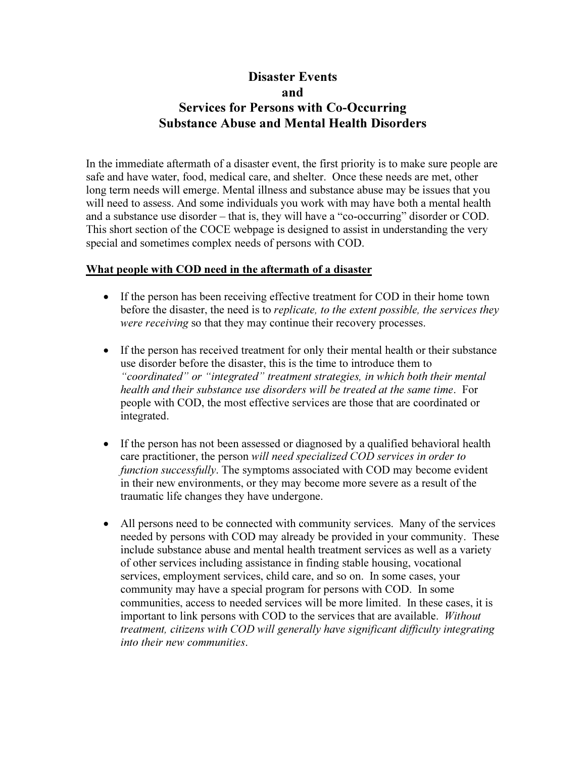# Disaster Events and Services for Persons with Co-Occurring Substance Abuse and Mental Health Disorders

In the immediate aftermath of a disaster event, the first priority is to make sure people are safe and have water, food, medical care, and shelter. Once these needs are met, other long term needs will emerge. Mental illness and substance abuse may be issues that you will need to assess. And some individuals you work with may have both a mental health and a substance use disorder – that is, they will have a "co-occurring" disorder or COD. This short section of the COCE webpage is designed to assist in understanding the very special and sometimes complex needs of persons with COD.

#### What people with COD need in the aftermath of a disaster

- If the person has been receiving effective treatment for COD in their home town before the disaster, the need is to *replicate*, to the extent possible, the services they were receiving so that they may continue their recovery processes.
- If the person has received treatment for only their mental health or their substance use disorder before the disaster, this is the time to introduce them to "coordinated" or "integrated" treatment strategies, in which both their mental health and their substance use disorders will be treated at the same time. For people with COD, the most effective services are those that are coordinated or integrated.
- If the person has not been assessed or diagnosed by a qualified behavioral health care practitioner, the person will need specialized COD services in order to function successfully. The symptoms associated with COD may become evident in their new environments, or they may become more severe as a result of the traumatic life changes they have undergone.
- All persons need to be connected with community services. Many of the services needed by persons with COD may already be provided in your community. These include substance abuse and mental health treatment services as well as a variety of other services including assistance in finding stable housing, vocational services, employment services, child care, and so on. In some cases, your community may have a special program for persons with COD. In some communities, access to needed services will be more limited. In these cases, it is important to link persons with COD to the services that are available. Without treatment, citizens with COD will generally have significant difficulty integrating into their new communities.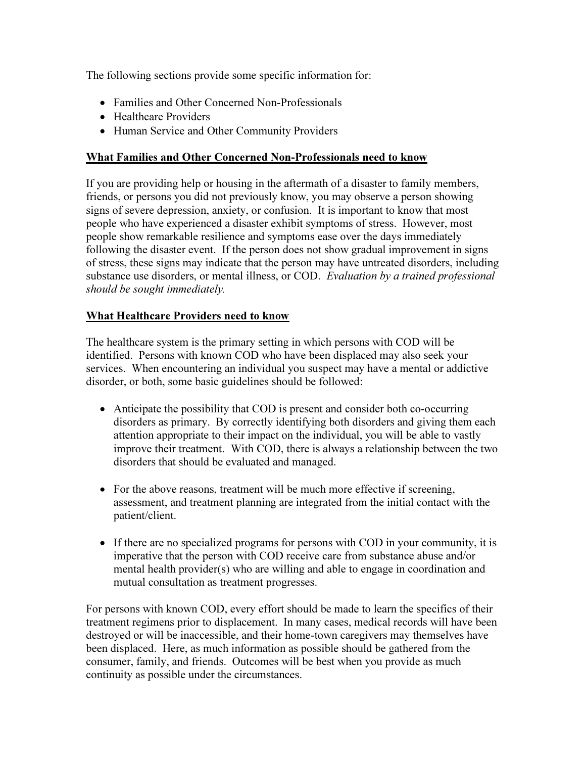The following sections provide some specific information for:

- Families and Other Concerned Non-Professionals
- Healthcare Providers
- Human Service and Other Community Providers

### What Families and Other Concerned Non-Professionals need to know

If you are providing help or housing in the aftermath of a disaster to family members, friends, or persons you did not previously know, you may observe a person showing signs of severe depression, anxiety, or confusion. It is important to know that most people who have experienced a disaster exhibit symptoms of stress. However, most people show remarkable resilience and symptoms ease over the days immediately following the disaster event. If the person does not show gradual improvement in signs of stress, these signs may indicate that the person may have untreated disorders, including substance use disorders, or mental illness, or COD. Evaluation by a trained professional should be sought immediately.

## What Healthcare Providers need to know

The healthcare system is the primary setting in which persons with COD will be identified. Persons with known COD who have been displaced may also seek your services. When encountering an individual you suspect may have a mental or addictive disorder, or both, some basic guidelines should be followed:

- Anticipate the possibility that COD is present and consider both co-occurring disorders as primary. By correctly identifying both disorders and giving them each attention appropriate to their impact on the individual, you will be able to vastly improve their treatment. With COD, there is always a relationship between the two disorders that should be evaluated and managed.
- For the above reasons, treatment will be much more effective if screening, assessment, and treatment planning are integrated from the initial contact with the patient/client.
- If there are no specialized programs for persons with COD in your community, it is imperative that the person with COD receive care from substance abuse and/or mental health provider(s) who are willing and able to engage in coordination and mutual consultation as treatment progresses.

For persons with known COD, every effort should be made to learn the specifics of their treatment regimens prior to displacement. In many cases, medical records will have been destroyed or will be inaccessible, and their home-town caregivers may themselves have been displaced. Here, as much information as possible should be gathered from the consumer, family, and friends. Outcomes will be best when you provide as much continuity as possible under the circumstances.